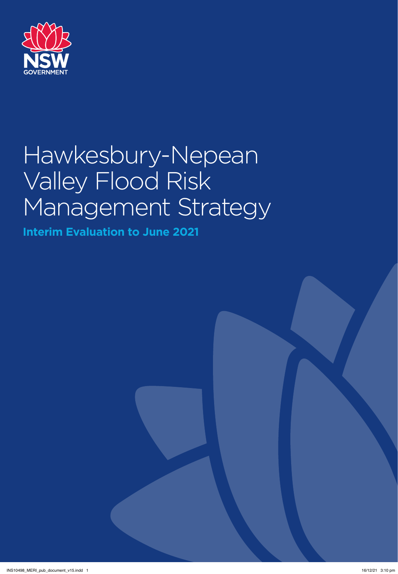

# Hawkesbury-Nepean Valley Flood Risk Management Strategy

**Interim Evaluation to June 2021**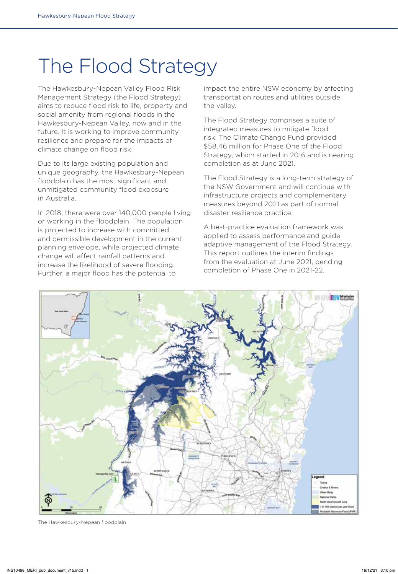# The Flood Strategy

The Hawkesbury-Nepean Valley Flood Risk Management Strategy (the Flood Strategy) aims to reduce flood risk to life, property and social amenity from regional floods in the Hawkesbury-Nepean Valley, now and in the future. It is working to improve community resilience and prepare for the impacts of climate change on flood risk.

Due to its large existing population and unique geography, the Hawkesbury-Nepean floodplain has the most significant and unmitigated community flood exposure in Australia.

In 2018, there were over 140,000 people living or working in the floodplain. The population is projected to increase with committed and permissible development in the current planning envelope, while projected climate change will affect rainfall patterns and increase the likelihood of severe flooding. Further, a major flood has the potential to

impact the entire NSW economy by affecting transportation routes and utilities outside the valley.

The Flood Strategy comprises a suite of integrated measures to mitigate flood risk. The Climate Change Fund provided \$58.46 million for Phase One of the Flood Strategy, which started in 2016 and is nearing completion as at June 2021.

The Flood Strategy is a long-term strategy of the NSW Government and will continue with infrastructure projects and complementary measures beyond 2021 as part of normal disaster resilience practice.

A best-practice evaluation framework was applied to assess performance and guide adaptive management of the Flood Strategy. This report outlines the interim findings from the evaluation at June 2021, pending completion of Phase One in 2021-22.



The Hawkesbury-Nepean floodplain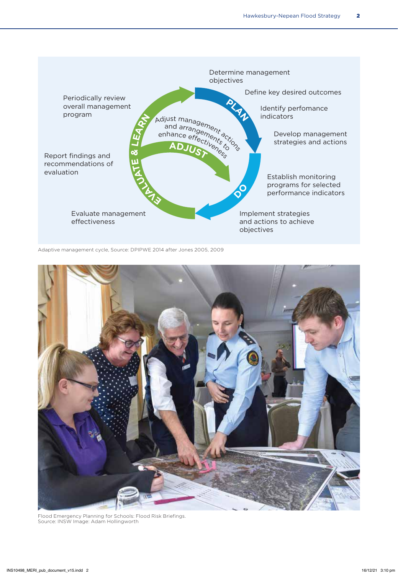

Adaptive management cycle, Source: DPIPWE 2014 after Jones 2005, 2009



Flood Emergency Planning for Schools: Flood Risk Briefings. Source: INSW Image: Adam Hollingworth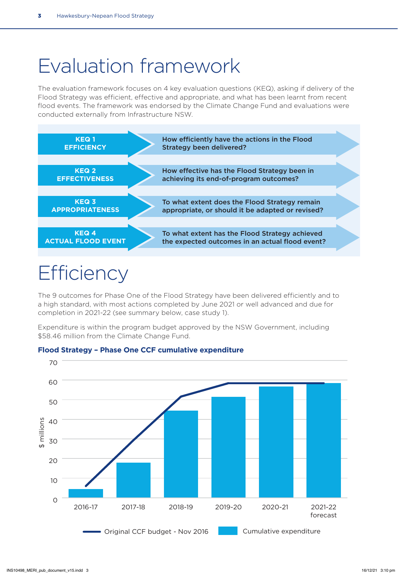# Evaluation framework

The evaluation framework focuses on 4 key evaluation questions (KEQ), asking if delivery of the Flood Strategy was efficient, effective and appropriate, and what has been learnt from recent flood events. The framework was endorsed by the Climate Change Fund and evaluations were conducted externally from Infrastructure NSW.



# **Efficiency**

The 9 outcomes for Phase One of the Flood Strategy have been delivered efficiently and to a high standard, with most actions completed by June 2021 or well advanced and due for completion in 2021-22 (see summary below, case study 1).

Expenditure is within the program budget approved by the NSW Government, including \$58.46 million from the Climate Change Fund.



#### **Flood Strategy – Phase One CCF cumulative expenditure**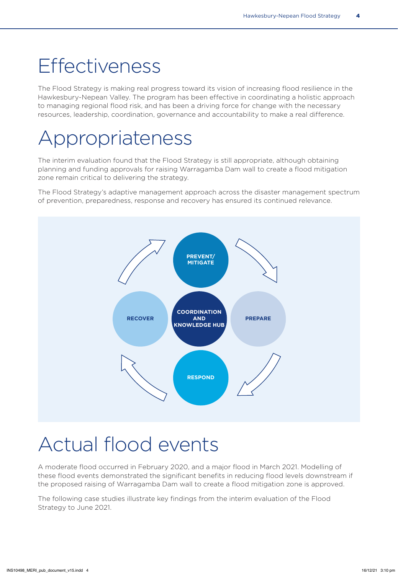# **Effectiveness**

The Flood Strategy is making real progress toward its vision of increasing flood resilience in the Hawkesbury-Nepean Valley. The program has been effective in coordinating a holistic approach to managing regional flood risk, and has been a driving force for change with the necessary resources, leadership, coordination, governance and accountability to make a real difference.

# Appropriateness

The interim evaluation found that the Flood Strategy is still appropriate, although obtaining planning and funding approvals for raising Warragamba Dam wall to create a flood mitigation zone remain critical to delivering the strategy.

The Flood Strategy's adaptive management approach across the disaster management spectrum of prevention, preparedness, response and recovery has ensured its continued relevance.



# Actual flood events

A moderate flood occurred in February 2020, and a major flood in March 2021. Modelling of these flood events demonstrated the significant benefits in reducing flood levels downstream if the proposed raising of Warragamba Dam wall to create a flood mitigation zone is approved.

The following case studies illustrate key findings from the interim evaluation of the Flood Strategy to June 2021.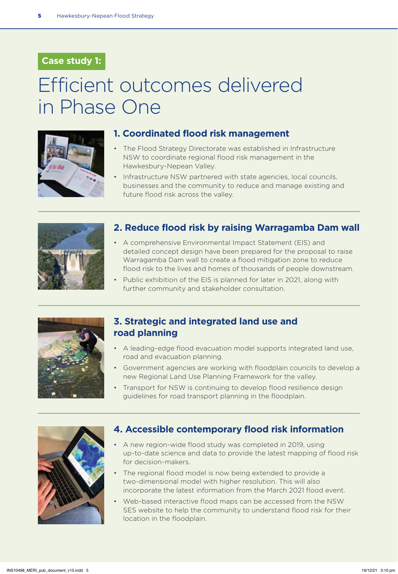### **Case study 1:**

# Efficient outcomes delivered in Phase One



#### **1. Coordinated flood risk management**

- The Flood Strategy Directorate was established in Infrastructure NSW to coordinate regional flood risk management in the Hawkesbury-Nepean Valley.
- Infrastructure NSW partnered with state agencies, local councils, businesses and the community to reduce and manage existing and future flood risk across the valley.



#### **2. Reduce flood risk by raising Warragamba Dam wall**

- A comprehensive Environmental Impact Statement (EIS) and detailed concept design have been prepared for the proposal to raise Warragamba Dam wall to create a flood mitigation zone to reduce flood risk to the lives and homes of thousands of people downstream.
- Public exhibition of the EIS is planned for later in 2021, along with further community and stakeholder consultation.



#### **3. Strategic and integrated land use and road planning**

- A leading-edge flood evacuation model supports integrated land use, road and evacuation planning.
- Government agencies are working with floodplain councils to develop a new Regional Land Use Planning Framework for the valley.
- Transport for NSW is continuing to develop flood resilience design guidelines for road transport planning in the floodplain.



#### **4. Accessible contemporary flood risk information**

- A new region-wide flood study was completed in 2019, using up-to-date science and data to provide the latest mapping of flood risk for decision-makers.
- The regional flood model is now being extended to provide a two-dimensional model with higher resolution. This will also incorporate the latest information from the March 2021 flood event.
- Web-based interactive flood maps can be accessed from the NSW SES website to help the community to understand flood risk for their location in the floodplain.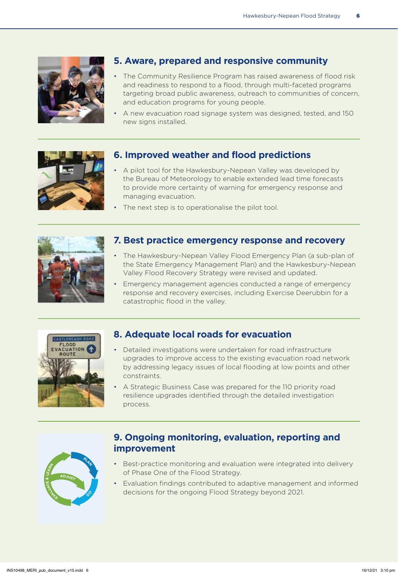

### **5. Aware, prepared and responsive community**

- The Community Resilience Program has raised awareness of flood risk and readiness to respond to a flood, through multi-faceted programs targeting broad public awareness, outreach to communities of concern, and education programs for young people.
- A new evacuation road signage system was designed, tested, and 150 new signs installed.



#### **6. Improved weather and flood predictions**

- A pilot tool for the Hawkesbury-Nepean Valley was developed by the Bureau of Meteorology to enable extended lead time forecasts to provide more certainty of warning for emergency response and managing evacuation.
- The next step is to operationalise the pilot tool.



#### **7. Best practice emergency response and recovery**

- The Hawkesbury-Nepean Valley Flood Emergency Plan (a sub-plan of the State Emergency Management Plan) and the Hawkesbury-Nepean Valley Flood Recovery Strategy were revised and updated.
- Emergency management agencies conducted a range of emergency response and recovery exercises, including Exercise Deerubbin for a catastrophic flood in the valley.



#### **8. Adequate local roads for evacuation**

- Detailed investigations were undertaken for road infrastructure upgrades to improve access to the existing evacuation road network by addressing legacy issues of local flooding at low points and other constraints.
- A Strategic Business Case was prepared for the 110 priority road resilience upgrades identified through the detailed investigation process.



### **9. Ongoing monitoring, evaluation, reporting and improvement**

- Best-practice monitoring and evaluation were integrated into delivery of Phase One of the Flood Strategy.
- Evaluation findings contributed to adaptive management and informed decisions for the ongoing Flood Strategy beyond 2021.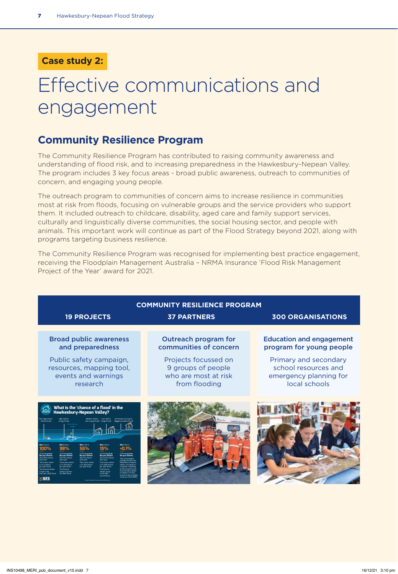### **Case study 2:**

# Effective communications and engagement

### **Community Resilience Program**

The Community Resilience Program has contributed to raising community awareness and understanding of flood risk, and to increasing preparedness in the Hawkesbury-Nepean Valley. The program includes 3 key focus areas - broad public awareness, outreach to communities of concern, and engaging young people.

The outreach program to communities of concern aims to increase resilience in communities most at risk from floods, focusing on vulnerable groups and the service providers who support them. It included outreach to childcare, disability, aged care and family support services, culturally and linguistically diverse communities, the social housing sector, and people with animals. This important work will continue as part of the Flood Strategy beyond 2021, along with programs targeting business resilience.

The Community Resilience Program was recognised for implementing best practice engagement, receiving the Floodplain Management Australia – NRMA Insurance 'Flood Risk Management Project of the Year' award for 2021.

| <b>COMMUNITY RESILIENCE PROGRAM</b>                                                                                                                                                                                                                                                                                                                      |                                                                                                                                              |                                                                                                                                                         |
|----------------------------------------------------------------------------------------------------------------------------------------------------------------------------------------------------------------------------------------------------------------------------------------------------------------------------------------------------------|----------------------------------------------------------------------------------------------------------------------------------------------|---------------------------------------------------------------------------------------------------------------------------------------------------------|
| <b>19 PROJECTS</b>                                                                                                                                                                                                                                                                                                                                       | <b>37 PARTNERS</b>                                                                                                                           | <b>300 ORGANISATIONS</b>                                                                                                                                |
| <b>Broad public awareness</b><br>and preparedness<br>Public safety campaign,<br>resources, mapping tool,<br>events and warnings<br>research                                                                                                                                                                                                              | <b>Outreach program for</b><br>communities of concern<br>Projects focussed on<br>9 groups of people<br>who are most at risk<br>from flooding | <b>Education and engagement</b><br>program for young people<br>Primary and secondary<br>school resources and<br>emergency planning for<br>local schools |
| What is the 'chance of a flood' in the<br>Hawkesbury-Nepean Valley?<br><b>Extremely low chance</b><br>ite R has a<br><b>Site D</b> has a<br><b>Site Fibre an</b><br>1%-0.1<br>his is the larges<br>This is also called<br>a 1 in 100 chance<br>a 1 in 500 chance<br>per year flood<br>er vear flood<br>per vear floor<br>imilar in da<br>own as the prol |                                                                                                                                              |                                                                                                                                                         |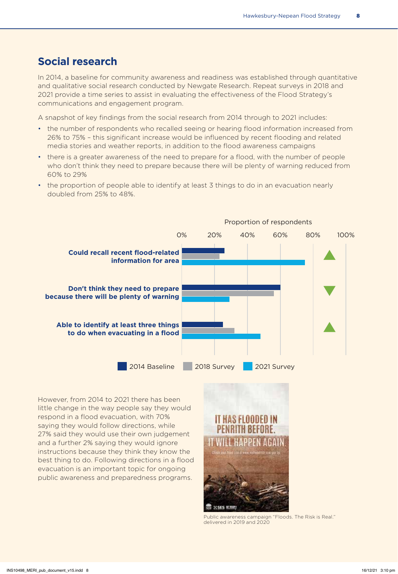### **Social research**

In 2014, a baseline for community awareness and readiness was established through quantitative and qualitative social research conducted by Newgate Research. Repeat surveys in 2018 and 2021 provide a time series to assist in evaluating the effectiveness of the Flood Strategy's communications and engagement program.

A snapshot of key findings from the social research from 2014 through to 2021 includes:

- the number of respondents who recalled seeing or hearing flood information increased from 26% to 75% – this significant increase would be influenced by recent flooding and related media stories and weather reports, in addition to the flood awareness campaigns
- there is a greater awareness of the need to prepare for a flood, with the number of people who don't think they need to prepare because there will be plenty of warning reduced from 60% to 29%
- the proportion of people able to identify at least 3 things to do in an evacuation nearly doubled from 25% to 48%.



However, from 2014 to 2021 there has been little change in the way people say they would respond in a flood evacuation, with 70% saying they would follow directions, while 27% said they would use their own judgement and a further 2% saying they would ignore instructions because they think they know the best thing to do. Following directions in a flood evacuation is an important topic for ongoing public awareness and preparedness programs.



Public awareness campaign "Floods. The Risk is Real." delivered in 2019 and 2020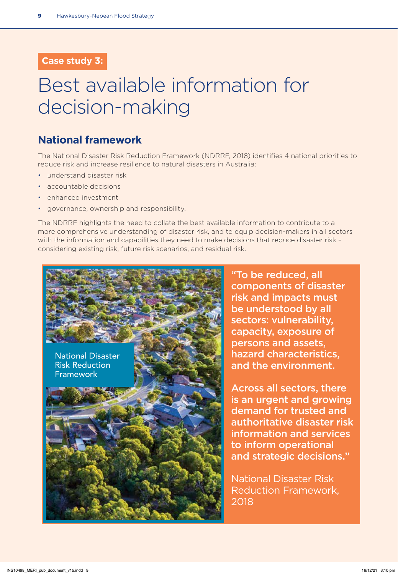### **Case study 3:**

# Best available information for decision-making

### **National framework**

The National Disaster Risk Reduction Framework (NDRRF, 2018) identifies 4 national priorities to reduce risk and increase resilience to natural disasters in Australia:

- understand disaster risk
- accountable decisions
- enhanced investment
- governance, ownership and responsibility.

The NDRRF highlights the need to collate the best available information to contribute to a more comprehensive understanding of disaster risk, and to equip decision-makers in all sectors with the information and capabilities they need to make decisions that reduce disaster risk – considering existing risk, future risk scenarios, and residual risk.



"To be reduced, all components of disaster risk and impacts must be understood by all sectors: vulnerability, capacity, exposure of persons and assets, hazard characteristics, and the environment.

Across all sectors, there is an urgent and growing demand for trusted and authoritative disaster risk information and services to inform operational and strategic decisions."

National Disaster Risk Reduction Framework, 2018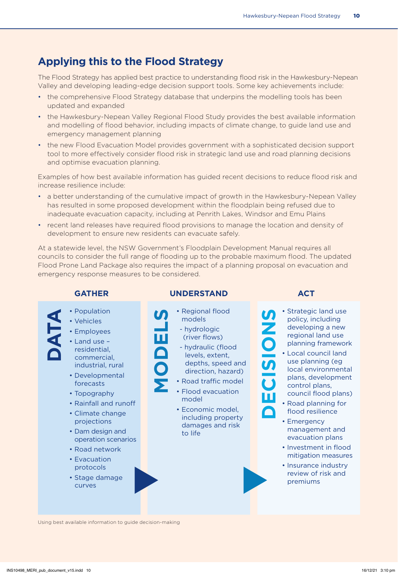### **Applying this to the Flood Strategy**

The Flood Strategy has applied best practice to understanding flood risk in the Hawkesbury-Nepean Valley and developing leading-edge decision support tools. Some key achievements include:

- the comprehensive Flood Strategy database that underpins the modelling tools has been updated and expanded
- the Hawkesbury-Nepean Valley Regional Flood Study provides the best available information and modelling of flood behavior, including impacts of climate change, to guide land use and emergency management planning
- the new Flood Evacuation Model provides government with a sophisticated decision support tool to more effectively consider flood risk in strategic land use and road planning decisions and optimise evacuation planning.

Examples of how best available information has guided recent decisions to reduce flood risk and increase resilience include:

- a better understanding of the cumulative impact of growth in the Hawkesbury-Nepean Valley has resulted in some proposed development within the floodplain being refused due to inadequate evacuation capacity, including at Penrith Lakes, Windsor and Emu Plains
- recent land releases have required flood provisions to manage the location and density of development to ensure new residents can evacuate safely.

At a statewide level, the NSW Government's Floodplain Development Manual requires all councils to consider the full range of flooding up to the probable maximum flood. The updated Flood Prone Land Package also requires the impact of a planning proposal on evacuation and emergency response measures to be considered.



Using best available information to guide decision-making

- **DECISIONS** • Strategic land use policy, including developing a new regional land use planning framework
	- Local council land use planning (eg local environmental plans, development control plans, council flood plans)
	- Road planning for flood resilience
	- Emergency management and evacuation plans
	- Investment in flood mitigation measures
	- Insurance industry review of risk and premiums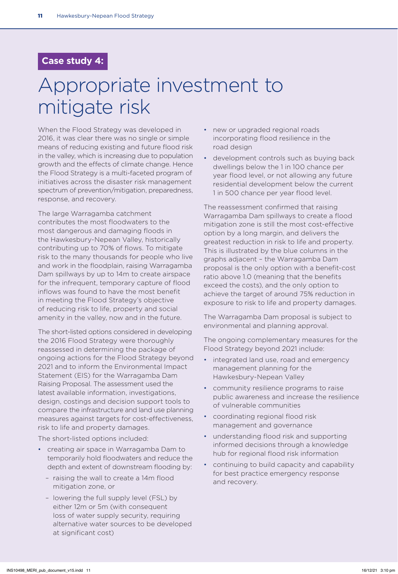#### **Case study 4:**

# Appropriate investment to mitigate risk

When the Flood Strategy was developed in 2016, it was clear there was no single or simple means of reducing existing and future flood risk in the valley, which is increasing due to population growth and the effects of climate change. Hence the Flood Strategy is a multi-faceted program of initiatives across the disaster risk management spectrum of prevention/mitigation, preparedness, response, and recovery.

The large Warragamba catchment contributes the most floodwaters to the most dangerous and damaging floods in the Hawkesbury-Nepean Valley, historically contributing up to 70% of flows. To mitigate risk to the many thousands for people who live and work in the floodplain, raising Warragamba Dam spillways by up to 14m to create airspace for the infrequent, temporary capture of flood inflows was found to have the most benefit in meeting the Flood Strategy's objective of reducing risk to life, property and social amenity in the valley, now and in the future.

The short-listed options considered in developing the 2016 Flood Strategy were thoroughly reassessed in determining the package of ongoing actions for the Flood Strategy beyond 2021 and to inform the Environmental Impact Statement (EIS) for the Warragamba Dam Raising Proposal. The assessment used the latest available information, investigations, design, costings and decision support tools to compare the infrastructure and land use planning measures against targets for cost-effectiveness, risk to life and property damages.

The short-listed options included:

- creating air space in Warragamba Dam to temporarily hold floodwaters and reduce the depth and extent of downstream flooding by:
	- raising the wall to create a 14m flood mitigation zone, or
	- lowering the full supply level (FSL) by either 12m or 5m (with consequent loss of water supply security, requiring alternative water sources to be developed at significant cost)
- new or upgraded regional roads incorporating flood resilience in the road design
- development controls such as buying back dwellings below the 1 in 100 chance per year flood level, or not allowing any future residential development below the current 1 in 500 chance per year flood level.

The reassessment confirmed that raising Warragamba Dam spillways to create a flood mitigation zone is still the most cost-effective option by a long margin, and delivers the greatest reduction in risk to life and property. This is illustrated by the blue columns in the graphs adjacent – the Warragamba Dam proposal is the only option with a benefit-cost ratio above 1.0 (meaning that the benefits exceed the costs), and the only option to achieve the target of around 75% reduction in exposure to risk to life and property damages.

The Warragamba Dam proposal is subject to environmental and planning approval.

The ongoing complementary measures for the Flood Strategy beyond 2021 include:

- integrated land use, road and emergency management planning for the Hawkesbury-Nepean Valley
- community resilience programs to raise public awareness and increase the resilience of vulnerable communities
- coordinating regional flood risk management and governance
- understanding flood risk and supporting informed decisions through a knowledge hub for regional flood risk information
- continuing to build capacity and capability for best practice emergency response and recovery.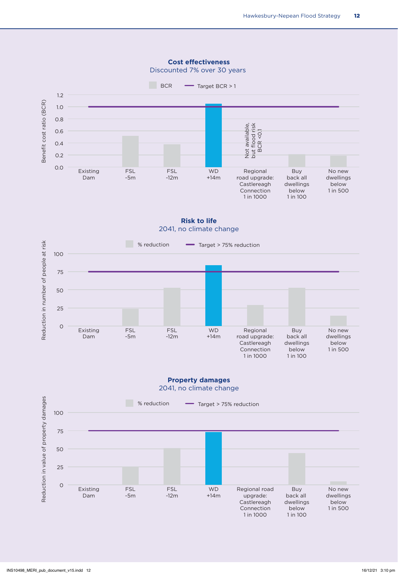

**Cost effectiveness**

**Risk to life** 2041, no climate change



#### **Property damages** 2041, no climate change

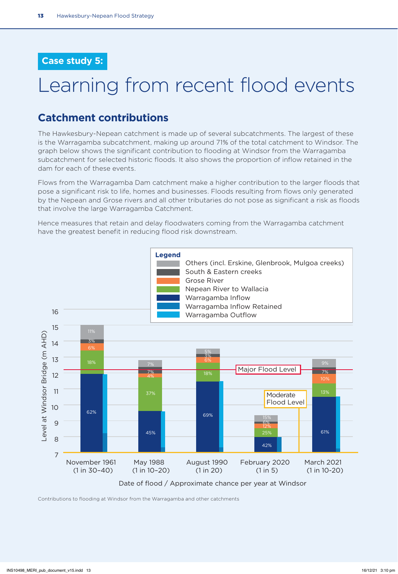#### **Case study 5:**

# Learning from recent flood events

### **Catchment contributions**

The Hawkesbury-Nepean catchment is made up of several subcatchments. The largest of these is the Warragamba subcatchment, making up around 71% of the total catchment to Windsor. The graph below shows the significant contribution to flooding at Windsor from the Warragamba subcatchment for selected historic floods. It also shows the proportion of inflow retained in the dam for each of these events.

Flows from the Warragamba Dam catchment make a higher contribution to the larger floods that pose a significant risk to life, homes and businesses. Floods resulting from flows only generated by the Nepean and Grose rivers and all other tributaries do not pose as significant a risk as floods that involve the large Warragamba Catchment.

Hence measures that retain and delay floodwaters coming from the Warragamba catchment have the greatest benefit in reducing flood risk downstream.



Contributions to flooding at Windsor from the Warragamba and other catchments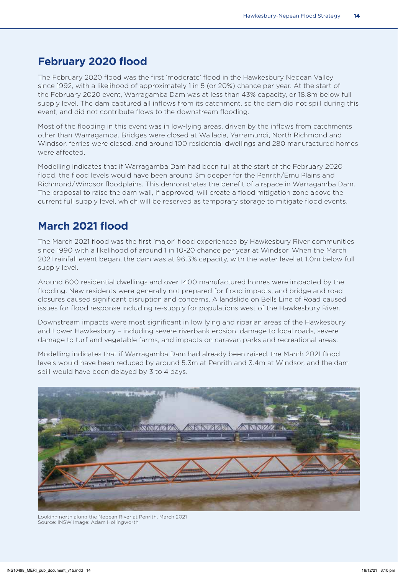### **February 2020 flood**

The February 2020 flood was the first 'moderate' flood in the Hawkesbury Nepean Valley since 1992, with a likelihood of approximately 1 in 5 (or 20%) chance per year. At the start of the February 2020 event, Warragamba Dam was at less than 43% capacity, or 18.8m below full supply level. The dam captured all inflows from its catchment, so the dam did not spill during this event, and did not contribute flows to the downstream flooding.

Most of the flooding in this event was in low-lying areas, driven by the inflows from catchments other than Warragamba. Bridges were closed at Wallacia, Yarramundi, North Richmond and Windsor, ferries were closed, and around 100 residential dwellings and 280 manufactured homes were affected.

Modelling indicates that if Warragamba Dam had been full at the start of the February 2020 flood, the flood levels would have been around 3m deeper for the Penrith/Emu Plains and Richmond/Windsor floodplains. This demonstrates the benefit of airspace in Warragamba Dam. The proposal to raise the dam wall, if approved, will create a flood mitigation zone above the current full supply level, which will be reserved as temporary storage to mitigate flood events.

### **March 2021 flood**

The March 2021 flood was the first 'major' flood experienced by Hawkesbury River communities since 1990 with a likelihood of around 1 in 10-20 chance per year at Windsor. When the March 2021 rainfall event began, the dam was at 96.3% capacity, with the water level at 1.0m below full supply level.

Around 600 residential dwellings and over 1400 manufactured homes were impacted by the flooding. New residents were generally not prepared for flood impacts, and bridge and road closures caused significant disruption and concerns. A landslide on Bells Line of Road caused issues for flood response including re-supply for populations west of the Hawkesbury River.

Downstream impacts were most significant in low lying and riparian areas of the Hawkesbury and Lower Hawkesbury – including severe riverbank erosion, damage to local roads, severe damage to turf and vegetable farms, and impacts on caravan parks and recreational areas.

Modelling indicates that if Warragamba Dam had already been raised, the March 2021 flood levels would have been reduced by around 5.3m at Penrith and 3.4m at Windsor, and the dam spill would have been delayed by 3 to 4 days.



Looking north along the Nepean River at Penrith, March 2021 Source: INSW Image: Adam Hollingworth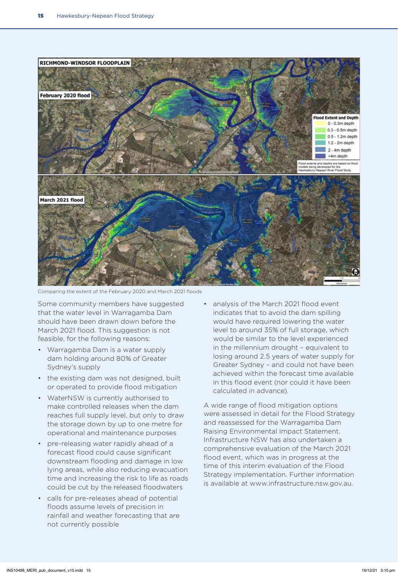

Comparing the extent of the February 2020 and March 2021 floods

Some community members have suggested that the water level in Warragamba Dam should have been drawn down before the March 2021 flood. This suggestion is not feasible, for the following reasons:

- Warragamba Dam is a water supply dam holding around 80% of Greater Sydney's supply
- the existing dam was not designed, built or operated to provide flood mitigation
- WaterNSW is currently authorised to make controlled releases when the dam reaches full supply level, but only to draw the storage down by up to one metre for operational and maintenance purposes
- pre-releasing water rapidly ahead of a forecast flood could cause significant downstream flooding and damage in low lying areas, while also reducing evacuation time and increasing the risk to life as roads could be cut by the released floodwaters
- calls for pre-releases ahead of potential floods assume levels of precision in rainfall and weather forecasting that are not currently possible

• analysis of the March 2021 flood event indicates that to avoid the dam spilling would have required lowering the water level to around 35% of full storage, which would be similar to the level experienced in the millennium drought – equivalent to losing around 2.5 years of water supply for Greater Sydney – and could not have been achieved within the forecast time available in this flood event (nor could it have been calculated in advance).

A wide range of flood mitigation options were assessed in detail for the Flood Strategy and reassessed for the Warragamba Dam Raising Environmental Impact Statement. Infrastructure NSW has also undertaken a comprehensive evaluation of the March 2021 flood event, which was in progress at the time of this interim evaluation of the Flood Strategy implementation. Further information is available at www.infrastructure.nsw.gov.au.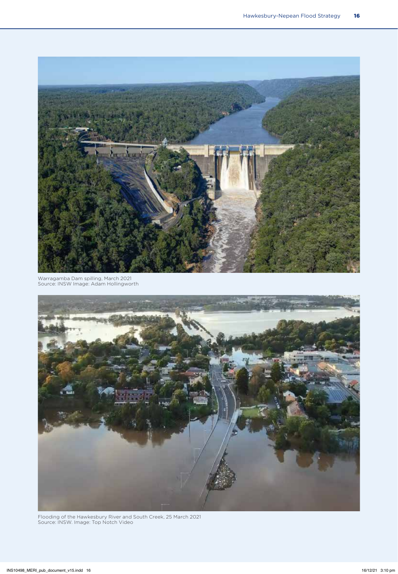

Warragamba Dam spilling, March 2021 Source: INSW Image: Adam Hollingworth



Flooding of the Hawkesbury River and South Creek, 25 March 2021 Source: INSW. Image: Top Notch Video